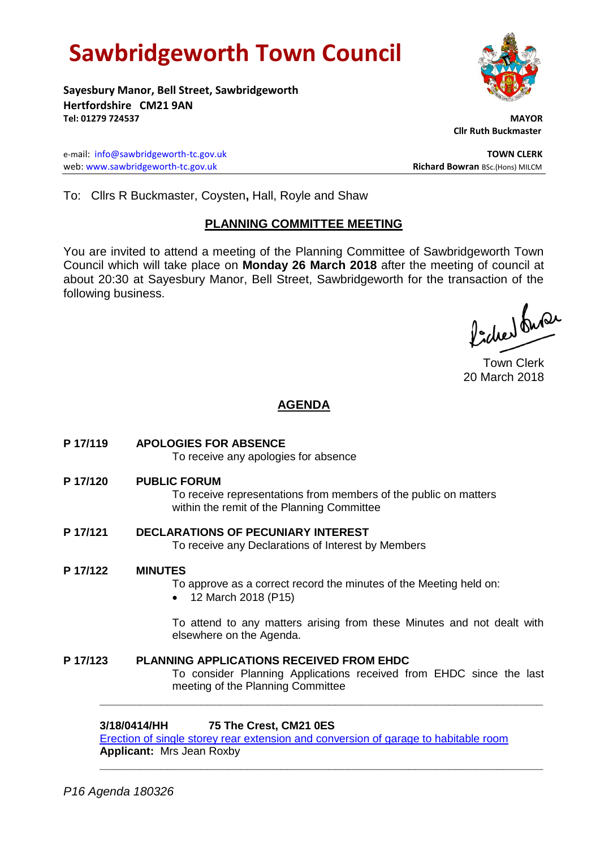# **Sawbridgeworth Town Council**

**Sayesbury Manor, Bell Street, Sawbridgeworth Hertfordshire CM21 9AN Tel: 01279 724537 MAYOR**

e-mail: [info@sawbridgeworth-tc.gov.uk](mailto:info@sawbridgeworth-tc.gov.uk) **TOWN CLERK** web: www.sawbridgeworth-tc.gov.uk **Richard Bowran** BSc.(Hons) MILCM

 **Cllr Ruth Buckmaster** 

To: Cllrs R Buckmaster, Coysten**,** Hall, Royle and Shaw

## **PLANNING COMMITTEE MEETING**

You are invited to attend a meeting of the Planning Committee of Sawbridgeworth Town Council which will take place on **Monday 26 March 2018** after the meeting of council at about 20:30 at Sayesbury Manor, Bell Street, Sawbridgeworth for the transaction of the following business.

Picked fuse

Town Clerk 20 March 2018

## **AGENDA**

**P 17/119 APOLOGIES FOR ABSENCE**

To receive any apologies for absence

**P 17/120 PUBLIC FORUM**

To receive representations from members of the public on matters within the remit of the Planning Committee

**P 17/121 DECLARATIONS OF PECUNIARY INTEREST** To receive any Declarations of Interest by Members

## **P 17/122 MINUTES**

To approve as a correct record the minutes of the Meeting held on:

12 March 2018 (P15)

To attend to any matters arising from these Minutes and not dealt with elsewhere on the Agenda.

**P 17/123 PLANNING APPLICATIONS RECEIVED FROM EHDC** To consider Planning Applications received from EHDC since the last meeting of the Planning Committee

## **3/18/0414/HH 75 The Crest, CM21 0ES**

[Erection of single storey rear extension and conversion of garage to habitable room](https://publicaccess.eastherts.gov.uk/online-applications/applicationDetails.do?keyVal=P4RAPIGLKPJ00&activeTab=summary)  **Applicant:** Mrs Jean Roxby **\_\_\_\_\_\_\_\_\_\_\_\_\_\_\_\_\_\_\_\_\_\_\_\_\_\_\_\_\_\_\_\_\_\_\_\_\_\_\_\_\_\_\_\_\_\_\_\_\_\_\_\_\_\_\_\_\_\_\_\_\_\_\_\_\_\_**

**\_\_\_\_\_\_\_\_\_\_\_\_\_\_\_\_\_\_\_\_\_\_\_\_\_\_\_\_\_\_\_\_\_\_\_\_\_\_\_\_\_\_\_\_\_\_\_\_\_\_\_\_\_\_\_\_\_\_\_\_\_\_\_\_\_\_**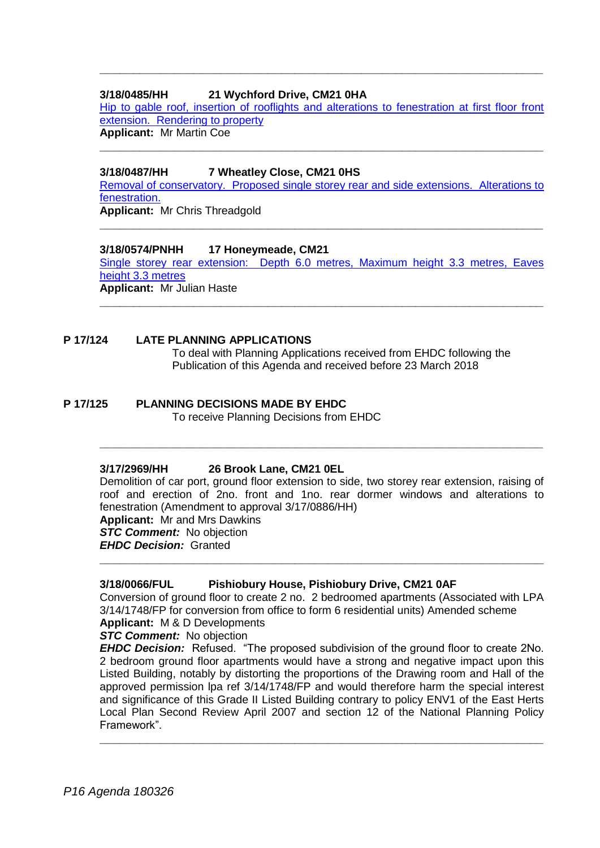## **3/18/0485/HH 21 Wychford Drive, CM21 0HA**

[Hip to gable roof, insertion of rooflights and alterations to fenestration at first floor front](https://publicaccess.eastherts.gov.uk/online-applications/applicationDetails.do?keyVal=P53YBNGLKTC00&activeTab=summary)  [extension. Rendering to property](https://publicaccess.eastherts.gov.uk/online-applications/applicationDetails.do?keyVal=P53YBNGLKTC00&activeTab=summary) **Applicant:** Mr Martin Coe

**\_\_\_\_\_\_\_\_\_\_\_\_\_\_\_\_\_\_\_\_\_\_\_\_\_\_\_\_\_\_\_\_\_\_\_\_\_\_\_\_\_\_\_\_\_\_\_\_\_\_\_\_\_\_\_\_\_\_\_\_\_\_\_\_\_\_**

**\_\_\_\_\_\_\_\_\_\_\_\_\_\_\_\_\_\_\_\_\_\_\_\_\_\_\_\_\_\_\_\_\_\_\_\_\_\_\_\_\_\_\_\_\_\_\_\_\_\_\_\_\_\_\_\_\_\_\_\_\_\_\_\_\_\_**

## **3/18/0487/HH 7 Wheatley Close, CM21 0HS**

[Removal of conservatory. Proposed single storey rear and side extensions. Alterations to](https://publicaccess.eastherts.gov.uk/online-applications/applicationDetails.do?keyVal=P549FUGLKTL00&activeTab=summary)  [fenestration.](https://publicaccess.eastherts.gov.uk/online-applications/applicationDetails.do?keyVal=P549FUGLKTL00&activeTab=summary)

**\_\_\_\_\_\_\_\_\_\_\_\_\_\_\_\_\_\_\_\_\_\_\_\_\_\_\_\_\_\_\_\_\_\_\_\_\_\_\_\_\_\_\_\_\_\_\_\_\_\_\_\_\_\_\_\_\_\_\_\_\_\_\_\_\_\_**

**Applicant:** Mr Chris Threadgold

## **3/18/0574/PNHH 17 Honeymeade, CM21**

[Single storey rear extension: Depth 6.0 metres, Maximum height 3.3 metres, Eaves](https://publicaccess.eastherts.gov.uk/online-applications/applicationDetails.do?keyVal=P5J4NMGL00X00&activeTab=summary)  [height 3.3 metres](https://publicaccess.eastherts.gov.uk/online-applications/applicationDetails.do?keyVal=P5J4NMGL00X00&activeTab=summary)  **Applicant:** Mr Julian Haste

**\_\_\_\_\_\_\_\_\_\_\_\_\_\_\_\_\_\_\_\_\_\_\_\_\_\_\_\_\_\_\_\_\_\_\_\_\_\_\_\_\_\_\_\_\_\_\_\_\_\_\_\_\_\_\_\_\_\_\_\_\_\_\_\_\_\_**

## **P 17/124 LATE PLANNING APPLICATIONS**

To deal with Planning Applications received from EHDC following the Publication of this Agenda and received before 23 March 2018

## **P 17/125 PLANNING DECISIONS MADE BY EHDC**

To receive Planning Decisions from EHDC

## **3/17/2969/HH 26 Brook Lane, CM21 0EL**

Demolition of car port, ground floor extension to side, two storey rear extension, raising of roof and erection of 2no. front and 1no. rear dormer windows and alterations to fenestration (Amendment to approval 3/17/0886/HH) **Applicant:** Mr and Mrs Dawkins **STC Comment:** No objection *EHDC Decision:* Granted

**\_\_\_\_\_\_\_\_\_\_\_\_\_\_\_\_\_\_\_\_\_\_\_\_\_\_\_\_\_\_\_\_\_\_\_\_\_\_\_\_\_\_\_\_\_\_\_\_\_\_\_\_\_\_\_\_\_\_\_\_\_\_\_\_\_\_**

## **3/18/0066/FUL Pishiobury House, Pishiobury Drive, CM21 0AF**

Conversion of ground floor to create 2 no. 2 bedroomed apartments (Associated with LPA 3/14/1748/FP for conversion from office to form 6 residential units) Amended scheme **Applicant:** M & D Developments

**\_\_\_\_\_\_\_\_\_\_\_\_\_\_\_\_\_\_\_\_\_\_\_\_\_\_\_\_\_\_\_\_\_\_\_\_\_\_\_\_\_\_\_\_\_\_\_\_\_\_\_\_\_\_\_\_\_\_\_\_\_\_\_\_\_\_**

*STC Comment:* No objection

*EHDC Decision:* Refused. "The proposed subdivision of the ground floor to create 2No. 2 bedroom ground floor apartments would have a strong and negative impact upon this Listed Building, notably by distorting the proportions of the Drawing room and Hall of the approved permission lpa ref 3/14/1748/FP and would therefore harm the special interest and significance of this Grade II Listed Building contrary to policy ENV1 of the East Herts Local Plan Second Review April 2007 and section 12 of the National Planning Policy Framework".

**\_\_\_\_\_\_\_\_\_\_\_\_\_\_\_\_\_\_\_\_\_\_\_\_\_\_\_\_\_\_\_\_\_\_\_\_\_\_\_\_\_\_\_\_\_\_\_\_\_\_\_\_\_\_\_\_\_\_\_\_\_\_\_\_\_\_**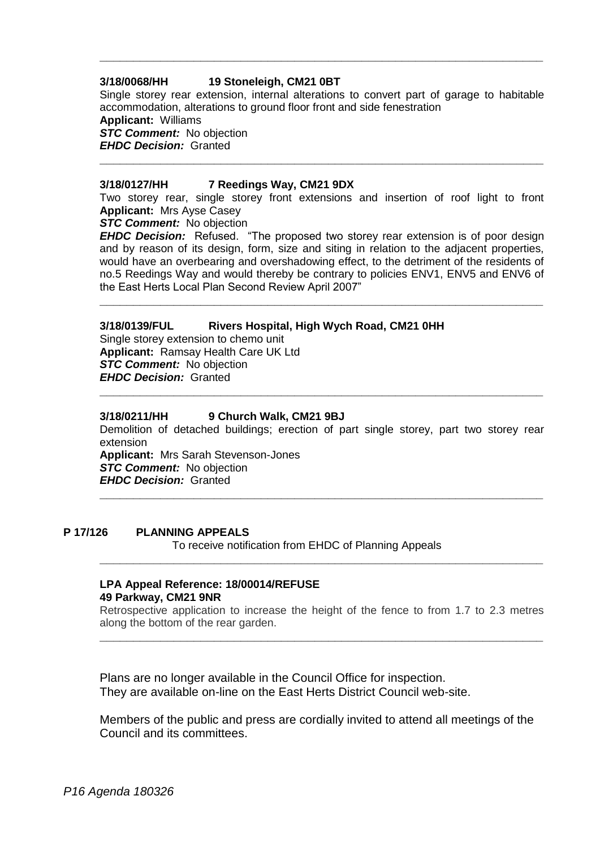## **3/18/0068/HH 19 Stoneleigh, CM21 0BT**

Single storey rear extension, internal alterations to convert part of garage to habitable accommodation, alterations to ground floor front and side fenestration **Applicant:** Williams *STC Comment:* No objection *EHDC Decision:* Granted

**\_\_\_\_\_\_\_\_\_\_\_\_\_\_\_\_\_\_\_\_\_\_\_\_\_\_\_\_\_\_\_\_\_\_\_\_\_\_\_\_\_\_\_\_\_\_\_\_\_\_\_\_\_\_\_\_\_\_\_\_\_\_\_\_\_\_**

**\_\_\_\_\_\_\_\_\_\_\_\_\_\_\_\_\_\_\_\_\_\_\_\_\_\_\_\_\_\_\_\_\_\_\_\_\_\_\_\_\_\_\_\_\_\_\_\_\_\_\_\_\_\_\_\_\_\_\_\_\_\_\_\_\_\_**

#### **3/18/0127/HH 7 Reedings Way, CM21 9DX**

Two storey rear, single storey front extensions and insertion of roof light to front **Applicant:** Mrs Ayse Casey

*STC Comment:* No objection

*EHDC Decision:* Refused. "The proposed two storey rear extension is of poor design and by reason of its design, form, size and siting in relation to the adjacent properties, would have an overbearing and overshadowing effect, to the detriment of the residents of no.5 Reedings Way and would thereby be contrary to policies ENV1, ENV5 and ENV6 of the East Herts Local Plan Second Review April 2007"

**\_\_\_\_\_\_\_\_\_\_\_\_\_\_\_\_\_\_\_\_\_\_\_\_\_\_\_\_\_\_\_\_\_\_\_\_\_\_\_\_\_\_\_\_\_\_\_\_\_\_\_\_\_\_\_\_\_\_\_\_\_\_\_\_\_\_**

## **3/18/0139/FUL Rivers Hospital, High Wych Road, CM21 0HH**

Single storey extension to chemo unit **Applicant:** Ramsay Health Care UK Ltd **STC Comment:** No objection *EHDC Decision:* Granted

#### **3/18/0211/HH 9 Church Walk, CM21 9BJ**

Demolition of detached buildings; erection of part single storey, part two storey rear extension

**\_\_\_\_\_\_\_\_\_\_\_\_\_\_\_\_\_\_\_\_\_\_\_\_\_\_\_\_\_\_\_\_\_\_\_\_\_\_\_\_\_\_\_\_\_\_\_\_\_\_\_\_\_\_\_\_\_\_\_\_\_\_\_\_\_\_**

**\_\_\_\_\_\_\_\_\_\_\_\_\_\_\_\_\_\_\_\_\_\_\_\_\_\_\_\_\_\_\_\_\_\_\_\_\_\_\_\_\_\_\_\_\_\_\_\_\_\_\_\_\_\_\_\_\_\_\_\_\_\_\_\_\_\_**

**Applicant:** Mrs Sarah Stevenson-Jones *STC Comment:* No objection *EHDC Decision:* Granted

## **P 17/126 PLANNING APPEALS**

To receive notification from EHDC of Planning Appeals

#### **LPA Appeal Reference: 18/00014/REFUSE 49 Parkway, CM21 9NR**

Retrospective application to increase the height of the fence to from 1.7 to 2.3 metres along the bottom of the rear garden. **\_\_\_\_\_\_\_\_\_\_\_\_\_\_\_\_\_\_\_\_\_\_\_\_\_\_\_\_\_\_\_\_\_\_\_\_\_\_\_\_\_\_\_\_\_\_\_\_\_\_\_\_\_\_\_\_\_\_\_\_\_\_\_\_\_\_**

**\_\_\_\_\_\_\_\_\_\_\_\_\_\_\_\_\_\_\_\_\_\_\_\_\_\_\_\_\_\_\_\_\_\_\_\_\_\_\_\_\_\_\_\_\_\_\_\_\_\_\_\_\_\_\_\_\_\_\_\_\_\_\_\_\_\_**

Plans are no longer available in the Council Office for inspection. They are available on-line on the East Herts District Council web-site.

Members of the public and press are cordially invited to attend all meetings of the Council and its committees.